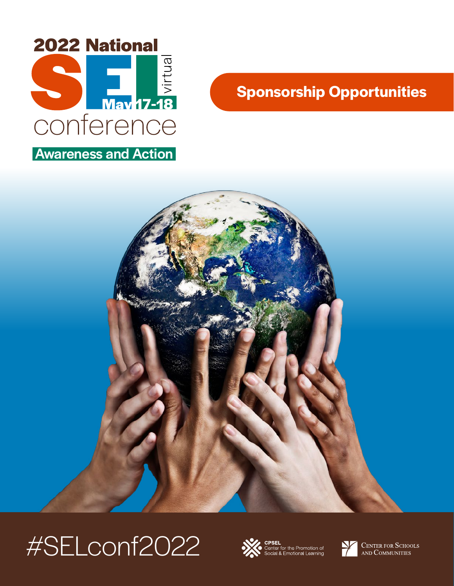

## **Sponsorship Opportunities**



# #SELconf2022



Center for the Promotion of<br>Social & Emotional Learning



**CENTER FOR SCHOOLS** AND COMMUNITIES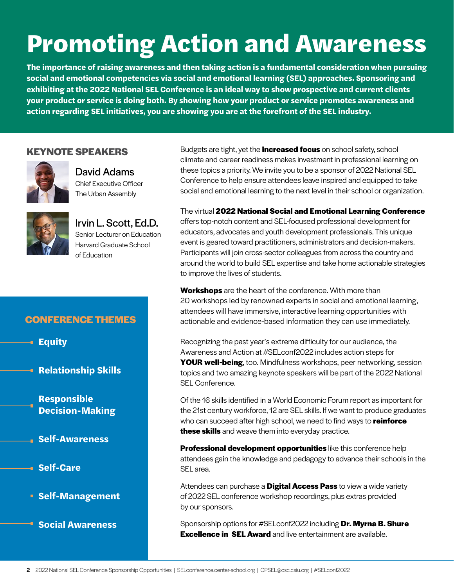# Promoting Action and Awareness

**The importance of raising awareness and then taking action is a fundamental consideration when pursuing social and emotional competencies via social and emotional learning (SEL) approaches. Sponsoring and exhibiting at the 2022 National SEL Conference is an ideal way to show prospective and current clients your product or service is doing both. By showing how your product or service promotes awareness and action regarding SEL initiatives, you are showing you are at the forefront of the SEL industry.** 

### **KEYNOTE SPEAKERS**



David Adams Chief Executive Officer The Urban Assembly



Irvin L. Scott, Ed.D. Senior Lecturer on Education Harvard Graduate School of Education

## **CONFERENCE THEMES**

**Equity**

**Relationship Skills**

**Responsible Decision-Making**

**Self-Awareness**

**Self-Care**

**Self-Management** 

**Social Awareness**

Budgets are tight, yet the **increased focus** on school safety, school climate and career readiness makes investment in professional learning on these topics a priority. We invite you to be a sponsor of 2022 National SEL Conference to help ensure attendees leave inspired and equipped to take social and emotional learning to the next level in their school or organization.

The virtual **2022 National Social and Emotional Learning Conference** offers top-notch content and SEL-focused professional development for educators, advocates and youth development professionals. This unique event is geared toward practitioners, administrators and decision-makers. Participants will join cross-sector colleagues from across the country and around the world to build SEL expertise and take home actionable strategies to improve the lives of students.

**Workshops** are the heart of the conference. With more than 20 workshops led by renowned experts in social and emotional learning, attendees will have immersive, interactive learning opportunities with actionable and evidence-based information they can use immediately.

Recognizing the past year's extreme difficulty for our audience, the Awareness and Action at #SELconf2022 includes action steps for **YOUR well-being**, too. Mindfulness workshops, peer networking, session topics and two amazing keynote speakers will be part of the 2022 National SEL Conference.

Of the 16 skills identified in a World Economic Forum report as important for the 21st century workforce, 12 are SEL skills. If we want to produce graduates who can succeed after high school, we need to find ways to **reinforce these skills** and weave them into everyday practice.

**Professional development opportunities** like this conference help attendees gain the knowledge and pedagogy to advance their schools in the SEL area.

Attendees can purchase a **Digital Access Pass** to view a wide variety of 2022 SEL conference workshop recordings, plus extras provided by our sponsors.

Sponsorship options for #SELconf2022 including **Dr. Myrna B. Shure Excellence in SEL Award** and live entertainment are available.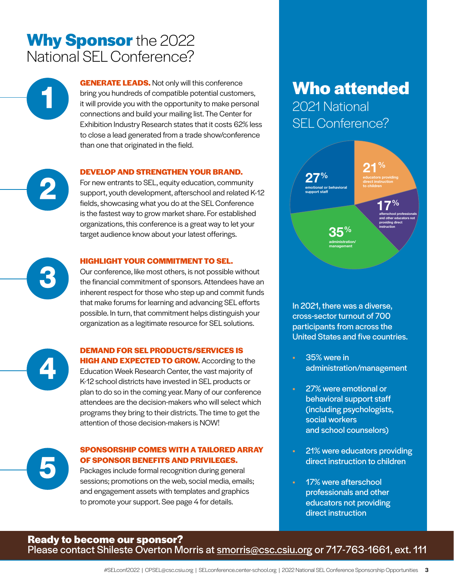# **Why Sponsor** the 2022 National SEL Conference?

**GENERATE LEADS.** Not only will this conference bring you hundreds of compatible potential customers, it will provide you with the opportunity to make personal connections and build your mailing list. The Center for Exhibition Industry Research states that it costs 62% less to close a lead generated from a trade show/conference than one that originated in the field.

#### **DEVELOP AND STRENGTHEN YOUR BRAND.**

For new entrants to SEL, equity education, community support, youth development, afterschool and related K-12 fields, showcasing what you do at the SEL Conference is the fastest way to grow market share. For established organizations, this conference is a great way to let your target audience know about your latest offerings.

#### **HIGHLIGHT YOUR COMMITMENT TO SEL.**

Our conference, like most others, is not possible without the financial commitment of sponsors. Attendees have an inherent respect for those who step up and commit funds that make forums for learning and advancing SEL efforts possible. In turn, that commitment helps distinguish your organization as a legitimate resource for SEL solutions.



#### **DEMAND FOR SEL PRODUCTS/SERVICES IS**

**HIGH AND EXPECTED TO GROW.** According to the Education Week Research Center, the vast majority of K-12 school districts have invested in SEL products or plan to do so in the coming year. Many of our conference attendees are the decision-makers who will select which programs they bring to their districts. The time to get the attention of those decision-makers is NOW!

### **SPONSORSHIP COMES WITH A TAILORED ARRAY OF SPONSOR BENEFITS AND PRIVILEGES.**

Packages include formal recognition during general sessions; promotions on the web, social media, emails; and engagement assets with templates and graphics to promote your support. See page 4 for details.

# **Who attended**

2021 National SEL Conference?



In 2021, there was a diverse, cross-sector turnout of 700 participants from across the United States and five countries.

- 35% were in administration/management
- 27% were emotional or behavioral support staff (including psychologists, social workers and school counselors)
- 21% were educators providing direct instruction to children
- 17% were afterschool professionals and other educators not providing direct instruction

## **Ready to become our sponsor?** Please contact Shileste Overton Morris at **[smorris@csc.csiu.org](mailto:smorris%40csc.csiu.org?subject=2022%20National%20SEL%20conference%20SPONSORSHIP) or 717-763-1661, ext.** 111